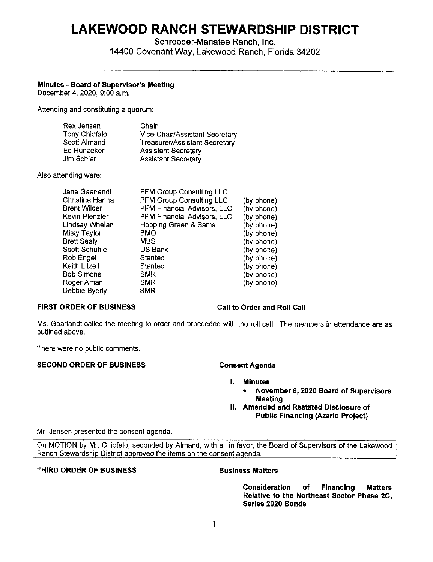# **LAKEWOOD RANCH STEWARDSHIP DISTRICT**

Schroeder-Manatee Ranch, Inc. 14400 Covenant Way, Lakewood Ranch, Florida 34202

# **Minutes** - **Board of Supervisor's Meeting**

December 4, 2020, 9:00 a.m,

Attending and constituting a quorum:

| Rex Jensen    | Chair                                |
|---------------|--------------------------------------|
| Tony Chiofalo | Vice-Chair/Assistant Secretary       |
| Scott Almand  | <b>Treasurer/Assistant Secretary</b> |
| Ed Hunzeker   | <b>Assistant Secretary</b>           |
| Jim Schier    | <b>Assistant Secretary</b>           |

Also attending were:

| Jane Gaarlandt     | <b>PFM Group Consulting LLC</b> |            |
|--------------------|---------------------------------|------------|
| Christina Hanna    | <b>PFM Group Consulting LLC</b> | (by phone) |
| Brent Wilder       | PFM Financial Advisors, LLC     | (by phone) |
| Kevin Plenzler     | PFM Financial Advisors, LLC     | (by phone) |
| Lindsay Whelan     | Hopping Green & Sams            | (by phone) |
| Misty Taylor       | <b>BMO</b>                      | (by phone) |
| <b>Brett Sealy</b> | <b>MBS</b>                      | (by phone) |
| Scott Schuhle      | US Bank                         | (by phone) |
| Rob Engel          | <b>Stantec</b>                  | (by phone) |
| Keith Litzell      | Stantec                         | (by phone) |
| Bob Simons         | <b>SMR</b>                      | (by phone) |
| Roger Aman         | <b>SMR</b>                      | (by phone) |
| Debbie Byerly      | <b>SMR</b>                      |            |
|                    |                                 |            |

# **FIRST ORDER OF BUSINESS Call to Order and Roll Call**

Ms. Gaarlandt called the meeting to order and proceeded with the roll call. The members in attendance are as outlined above.

There were no public comments.

# SECOND ORDER OF BUSINESS Consent Agenda

I. Minutes

- **November 6, 2020 Board of Supervisors Meeting**
- ii. **Amended and Restated Disclosure of Public Financing (Azario Project)**

Mr. Jensen presented the consent agenda.

On MOTION by Mr. Chiofalo, seconded by Almand, with all in favor, the Board of Supervisors of the Lakewood Ranch Stewardship District approved the items on the consent agenda.

# **THIRD ORDER OF BUSINESS BUSINESS Business Matters**

**Consideration of Financing Matters Relative to the Northeast Sector Phase 2C, Series 2020 Bonds**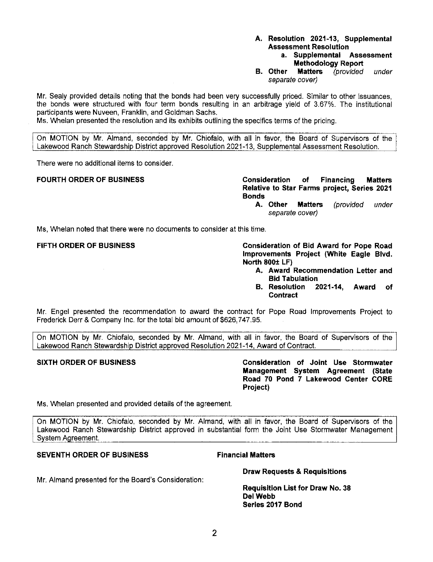# **A. Resolution 2021-13, Supplemental Assessment Resolution**

- **a. Supplemental Assessment Methodology Report**
- **B. Other Matters** (provided under separate cover)

Mr. Sealy provided details noting that the bonds had been very successfully priced. Similar to other issuances, the bonds were structured with four term bonds resulting in an arbitrage yield of 3.67%. The institutional participants were Nuveen, Franklin, and Goldman Sachs.

Ms. Whelan presented the resolution and its exhibits outlining the specifics terms of the pricing.

On MOTION by Mr. Almand, seconded by Mr. Chiofalo, with all in favor, the Board of Supervisors of the Lakewood Ranch Stewardship District approved Resolution 2021-13, Supplemental Assessment Resolution.

There were no additional items to consider.

**FOURTH ORDER OF BUSINESS Consideration of Financing Matters Relative to Star Farms project, Series 2021 Bonds** 

**A. Other Matters** (provided under separate cover)

Ms, Whelan noted that there were no documents to consider at this time.

**FIFTH ORDER OF BUSINESS Consideration of Bid Award for Pope Road Improvements Project (White Eagle Blvd. North 800± LF)** 

- **A. Award Recommendation Letter and Bid Tabulation**
- **B. Resolution 2021-14, Award of Contract**

Mr. Engel presented the recommendation to award the contract for Pope Road Improvements Project to Frederick Derr & Company Inc. for the total bid amount of [\\$626,747.95](https://626,747.95).

On MOTION by Mr. Chiofalo, seconded by Mr. Almand, with all in favor, the Board of Supervisors of the Lakewood Ranch Stewardship District approved Resolution 2021-14, Award of Contract.

**SIXTH ORDER OF BUSINESS Consideration of Joint Use Stormwater Management System Agreement (State Road 70 Pond 7 Lakewood Center CORE Project)** 

Ms. Whelan presented and provided details of the agreement.

On MOTION by Mr. Chiofalo, seconded by Mr. Almand, with all in favor, the Board of Supervisors of the Lakewood Ranch Stewardship District approved in substantial form the Joint Use Stormwater Management Svstem Aareement.

# **SEVENTH ORDER OF BUSINESS Financial Matters**

**Draw Requests & Requisitions** 

**Requisition List for Draw No. 38 Del Webb Series 2017 Bond** 

Mr. Almand presented for the Board's Consideration: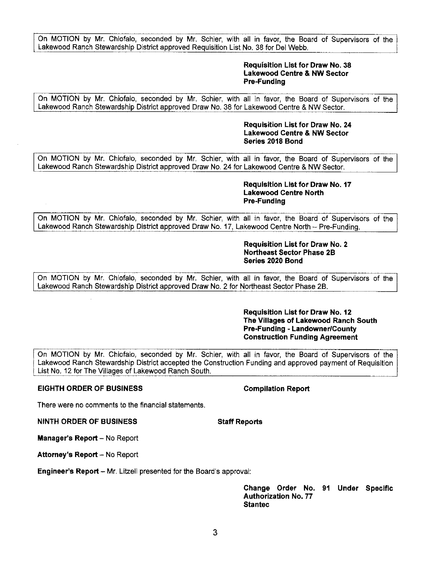On MOTION by Mr. Chiofalo, seconded by Mr. Schier, with all in favor, the Board of Supervisors of the Lakewood Ranch Stewardship District approved Requisition List No. 38 for Del Webb.

### **Requisition List for Draw No. 38 Lakewood Centre & NW Sector Pre-Funding**

On MOTION by Mr. Chiofalo, seconded by Mr. Schier, with all in favor, the Board of Supervisors of the Lakewood Ranch Stewardship District approved Draw No. 38 for Lakewood Centre & NW Sector.

> **Requisition List for Draw No. 24 Lakewood Centre & NW Sector Series 2018 Bond**

On MOTION by Mr. Chiofalo, seconded by Mr. Schier, with all in favor, the Board of Supervisors of the Lakewood Ranch Stewardship District approved Draw No. 24 for Lakewood Centre & NW Sector.

#### **Requisition List for Draw No. 17 Lakewood Centre North Pre-Funding**

On MOTION by Mr. Chiofalo, seconded by Mr. Schier, with all in favor, the Board of Supervisors of the Lakewood Ranch Stewardship District approved Draw No. 17, Lakewood Centre North -- Pre-Funding.

#### **Requisition List for Draw No. 2 Northeast Sector Phase 2B Series 2020 Bond**

On MOTION by Mr. Chiofalo, seconded by Mr. Schier, with all in favor, the Board of Supervisors of the Lakewood Ranch Stewardship District approved Draw No. 2 for Northeast Sector Phase 2B.

### **Requisition List for Draw No. 12 The Villages of Lakewood Ranch South Pre-Funding - Landowner/County Construction Funding Agreement**

On MOTION by Mr. Chiofalo, seconded by Mr. Schier, with all in favor, the Board of Supervisors of the Lakewood Ranch Stewardship District accepted the Construction Funding and approved payment of Requisition List No. 12 for The Villages of Lakewood Ranch South.

# **EIGHTH ORDER OF BUSINESS Compilation Report**

There were no comments to the financial statements.

**NINTH ORDER OF BUSINESS STATES Staff Reports** 

**Manager's Report - No Report** 

**Attorney's Report - No Report** 

**Engineer's Report** - Mr. Litzell presented for the Board's approval:

**Change Order No. 91 Under Specific Authorization No. 77 Staniec**